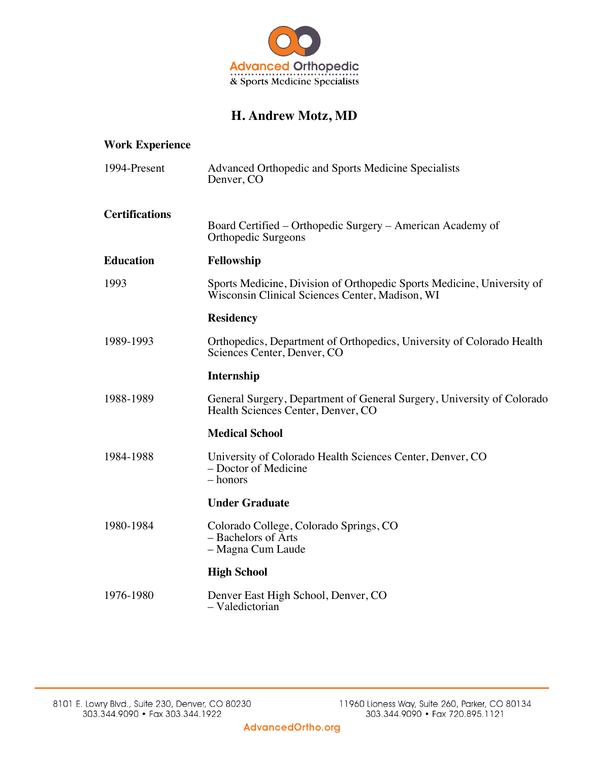

# **H. Andrew Motz, MD**

| <b>Work Experience</b> |                                                                                                                           |
|------------------------|---------------------------------------------------------------------------------------------------------------------------|
| 1994-Present           | Advanced Orthopedic and Sports Medicine Specialists<br>Denver, CO                                                         |
| <b>Certifications</b>  | Board Certified – Orthopedic Surgery – American Academy of<br>Orthopedic Surgeons                                         |
| <b>Education</b>       | Fellowship                                                                                                                |
| 1993                   | Sports Medicine, Division of Orthopedic Sports Medicine, University of<br>Wisconsin Clinical Sciences Center, Madison, WI |
|                        | <b>Residency</b>                                                                                                          |
| 1989-1993              | Orthopedics, Department of Orthopedics, University of Colorado Health<br>Sciences Center, Denver, CO                      |
|                        | <b>Internship</b>                                                                                                         |
| 1988-1989              | General Surgery, Department of General Surgery, University of Colorado<br>Health Sciences Center, Denver, CO              |
|                        | <b>Medical School</b>                                                                                                     |
| 1984-1988              | University of Colorado Health Sciences Center, Denver, CO<br>– Doctor of Medicine<br>– honors                             |
|                        | <b>Under Graduate</b>                                                                                                     |
| 1980-1984              | Colorado College, Colorado Springs, CO<br>- Bachelors of Arts<br>- Magna Cum Laude                                        |
|                        | <b>High School</b>                                                                                                        |
| 1976-1980              | Denver East High School, Denver, CO<br>- Valedictorian                                                                    |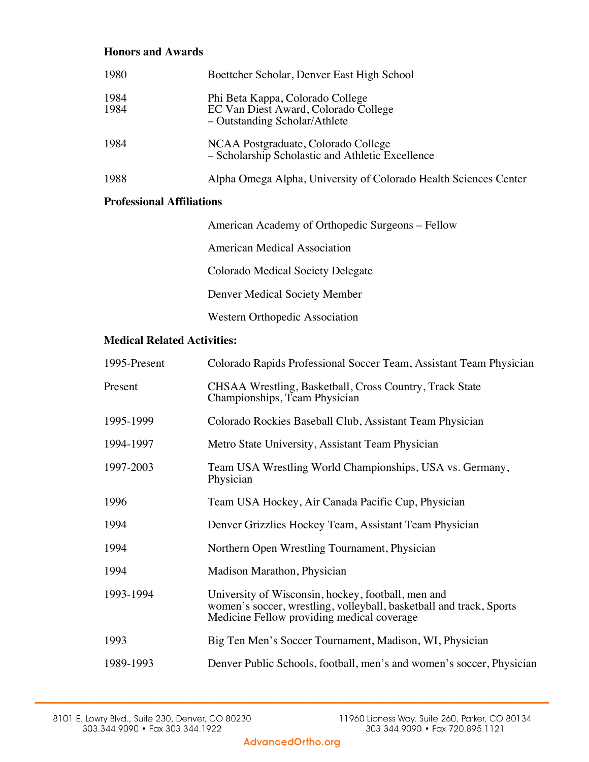## **Honors and Awards**

| 1980         | Boettcher Scholar, Denver East High School                                                                |
|--------------|-----------------------------------------------------------------------------------------------------------|
| 1984<br>1984 | Phi Beta Kappa, Colorado College<br>EC Van Diest Award, Colorado College<br>- Outstanding Scholar/Athlete |
| 1984         | NCAA Postgraduate, Colorado College<br>- Scholarship Scholastic and Athletic Excellence                   |
| 1988         | Alpha Omega Alpha, University of Colorado Health Sciences Center                                          |

#### **Professional Affiliations**

| American Academy of Orthopedic Surgeons – Fellow |
|--------------------------------------------------|
| American Medical Association                     |
| Colorado Medical Society Delegate                |
| Denver Medical Society Member                    |
| Western Orthopedic Association                   |

## **Medical Related Activities:**

| 1995-Present | Colorado Rapids Professional Soccer Team, Assistant Team Physician                                                                                                      |
|--------------|-------------------------------------------------------------------------------------------------------------------------------------------------------------------------|
| Present      | CHSAA Wrestling, Basketball, Cross Country, Track State<br>Championships, Team Physician                                                                                |
| 1995-1999    | Colorado Rockies Baseball Club, Assistant Team Physician                                                                                                                |
| 1994-1997    | Metro State University, Assistant Team Physician                                                                                                                        |
| 1997-2003    | Team USA Wrestling World Championships, USA vs. Germany,<br>Physician                                                                                                   |
| 1996         | Team USA Hockey, Air Canada Pacific Cup, Physician                                                                                                                      |
| 1994         | Denver Grizzlies Hockey Team, Assistant Team Physician                                                                                                                  |
| 1994         | Northern Open Wrestling Tournament, Physician                                                                                                                           |
| 1994         | Madison Marathon, Physician                                                                                                                                             |
| 1993-1994    | University of Wisconsin, hockey, football, men and<br>women's soccer, wrestling, volleyball, basketball and track, Sports<br>Medicine Fellow providing medical coverage |
| 1993         | Big Ten Men's Soccer Tournament, Madison, WI, Physician                                                                                                                 |
| 1989-1993    | Denver Public Schools, football, men's and women's soccer, Physician                                                                                                    |